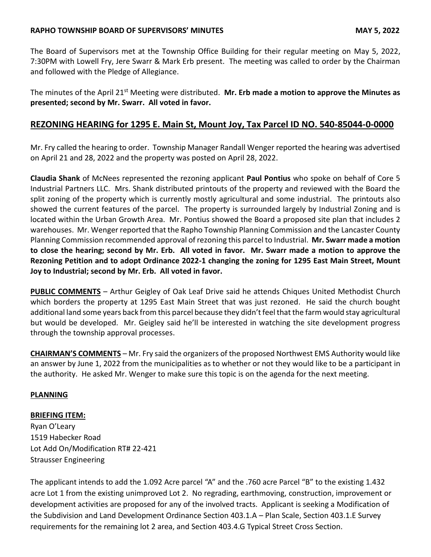## **RAPHO TOWNSHIP BOARD OF SUPERVISORS' MINUTES MAY 5, 2022**

The Board of Supervisors met at the Township Office Building for their regular meeting on May 5, 2022, 7:30PM with Lowell Fry, Jere Swarr & Mark Erb present. The meeting was called to order by the Chairman and followed with the Pledge of Allegiance.

The minutes of the April 21st Meeting were distributed. **Mr. Erb made a motion to approve the Minutes as presented; second by Mr. Swarr. All voted in favor.**

# **REZONING HEARING for 1295 E. Main St, Mount Joy, Tax Parcel ID NO. 540-85044-0-0000**

Mr. Fry called the hearing to order. Township Manager Randall Wenger reported the hearing was advertised on April 21 and 28, 2022 and the property was posted on April 28, 2022.

**Claudia Shank** of McNees represented the rezoning applicant **Paul Pontius** who spoke on behalf of Core 5 Industrial Partners LLC. Mrs. Shank distributed printouts of the property and reviewed with the Board the split zoning of the property which is currently mostly agricultural and some industrial. The printouts also showed the current features of the parcel. The property is surrounded largely by Industrial Zoning and is located within the Urban Growth Area. Mr. Pontius showed the Board a proposed site plan that includes 2 warehouses. Mr. Wenger reported that the Rapho Township Planning Commission and the Lancaster County Planning Commission recommended approval of rezoning this parcel to Industrial. **Mr. Swarr made a motion to close the hearing; second by Mr. Erb. All voted in favor. Mr. Swarr made a motion to approve the Rezoning Petition and to adopt Ordinance 2022-1 changing the zoning for 1295 East Main Street, Mount Joy to Industrial; second by Mr. Erb. All voted in favor.** 

**PUBLIC COMMENTS** – Arthur Geigley of Oak Leaf Drive said he attends Chiques United Methodist Church which borders the property at 1295 East Main Street that was just rezoned. He said the church bought additional land some years back from this parcel because they didn't feel that the farm would stay agricultural but would be developed. Mr. Geigley said he'll be interested in watching the site development progress through the township approval processes.

**CHAIRMAN'S COMMENTS** – Mr. Fry said the organizers of the proposed Northwest EMS Authority would like an answer by June 1, 2022 from the municipalities as to whether or not they would like to be a participant in the authority. He asked Mr. Wenger to make sure this topic is on the agenda for the next meeting.

## **PLANNING**

## **BRIEFING ITEM:**

Ryan O'Leary 1519 Habecker Road Lot Add On/Modification RT# 22-421 Strausser Engineering

The applicant intends to add the 1.092 Acre parcel "A" and the .760 acre Parcel "B" to the existing 1.432 acre Lot 1 from the existing unimproved Lot 2. No regrading, earthmoving, construction, improvement or development activities are proposed for any of the involved tracts. Applicant is seeking a Modification of the Subdivision and Land Development Ordinance Section 403.1.A – Plan Scale, Section 403.1.E Survey requirements for the remaining lot 2 area, and Section 403.4.G Typical Street Cross Section.